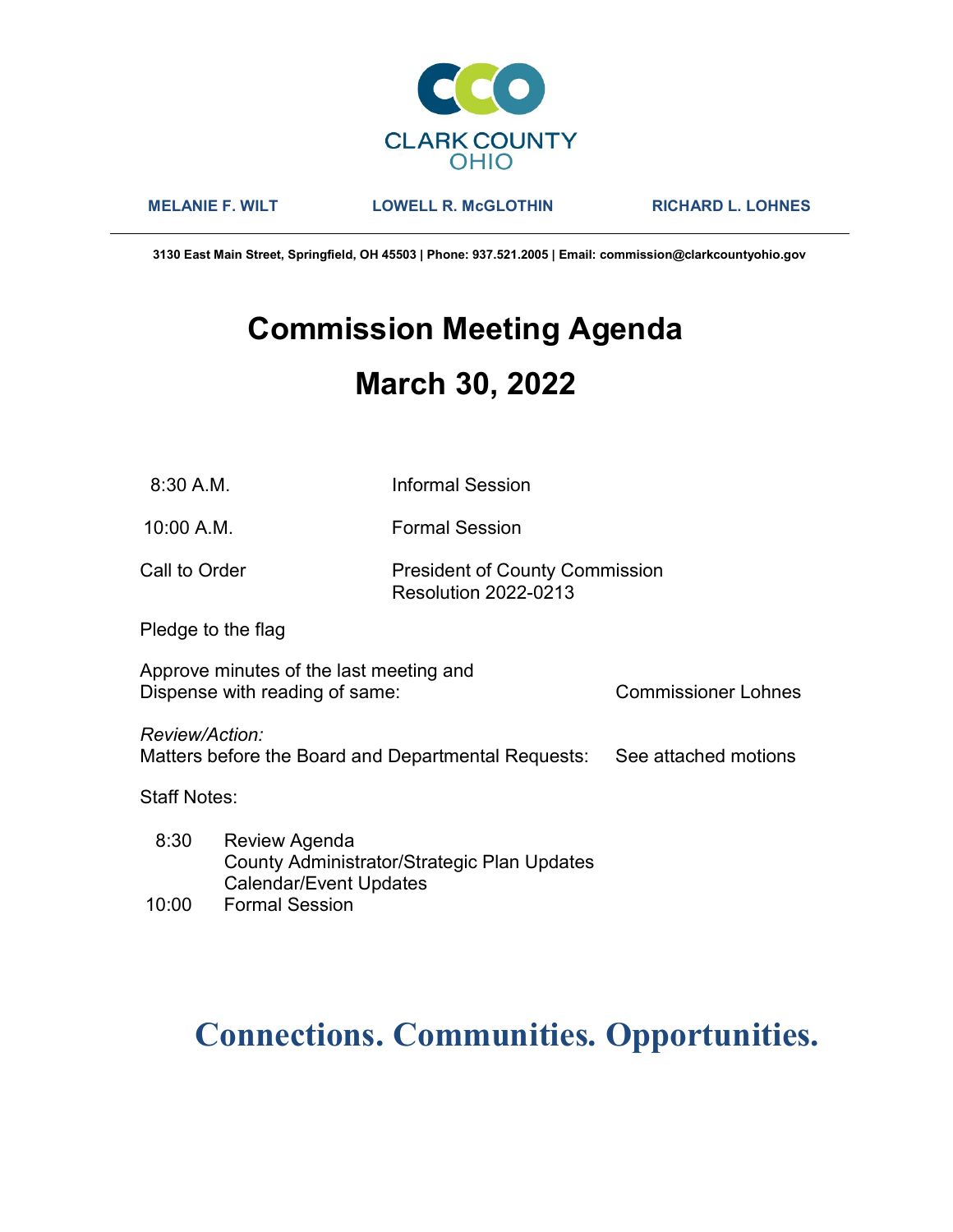

MELANIE F. WILT LOWELL R. McGLOTHIN RICHARD L. LOHNES

3130 East Main Street, Springfield, OH 45503 | Phone: 937.521.2005 | Email: commission@clarkcountyohio.gov

# Commission Meeting Agenda March 30, 2022

10:00 A.M. Formal Session

### Call to Order **President of County Commission** Resolution 2022-0213

Pledge to the flag

Approve minutes of the last meeting and Dispense with reading of same: Commissioner Lohnes

Review/Action:

Matters before the Board and Departmental Requests: See attached motions

Staff Notes:

 8:30 Review Agenda County Administrator/Strategic Plan Updates Calendar/Event Updates

## 10:00 Formal Session

# Connections. Communities. Opportunities.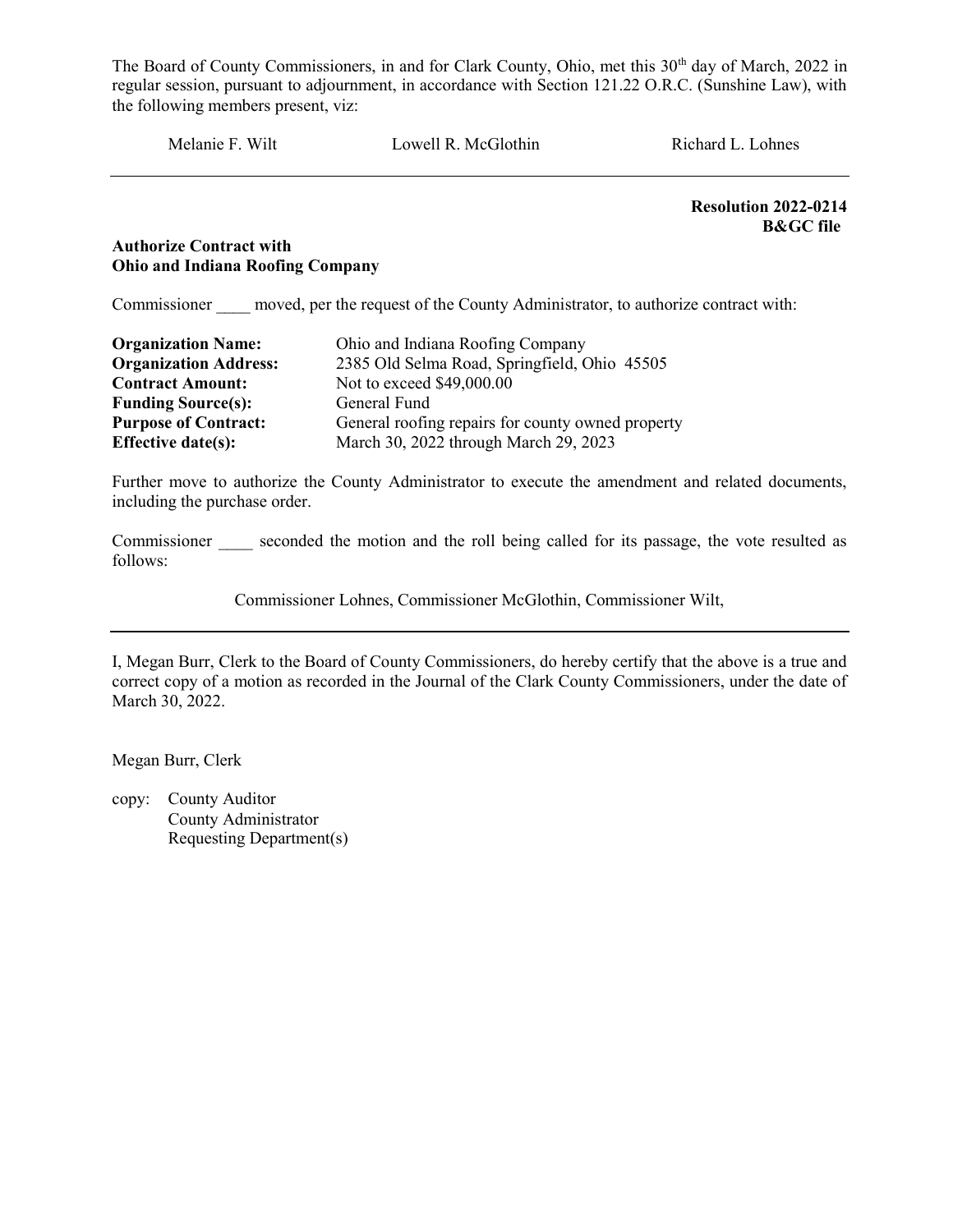Melanie F. Wilt Lowell R. McGlothin Richard L. Lohnes

Resolution 2022-0214 B&GC file

#### Authorize Contract with Ohio and Indiana Roofing Company

Commissioner moved, per the request of the County Administrator, to authorize contract with:

| <b>Organization Name:</b>    | Ohio and Indiana Roofing Company                  |  |  |  |
|------------------------------|---------------------------------------------------|--|--|--|
| <b>Organization Address:</b> | 2385 Old Selma Road, Springfield, Ohio 45505      |  |  |  |
| <b>Contract Amount:</b>      | Not to exceed \$49,000.00                         |  |  |  |
| <b>Funding Source(s):</b>    | General Fund                                      |  |  |  |
| <b>Purpose of Contract:</b>  | General roofing repairs for county owned property |  |  |  |
| <b>Effective date(s):</b>    | March 30, 2022 through March 29, 2023             |  |  |  |

Further move to authorize the County Administrator to execute the amendment and related documents, including the purchase order.

Commissioner seconded the motion and the roll being called for its passage, the vote resulted as follows:

Commissioner Lohnes, Commissioner McGlothin, Commissioner Wilt,

I, Megan Burr, Clerk to the Board of County Commissioners, do hereby certify that the above is a true and correct copy of a motion as recorded in the Journal of the Clark County Commissioners, under the date of March 30, 2022.

Megan Burr, Clerk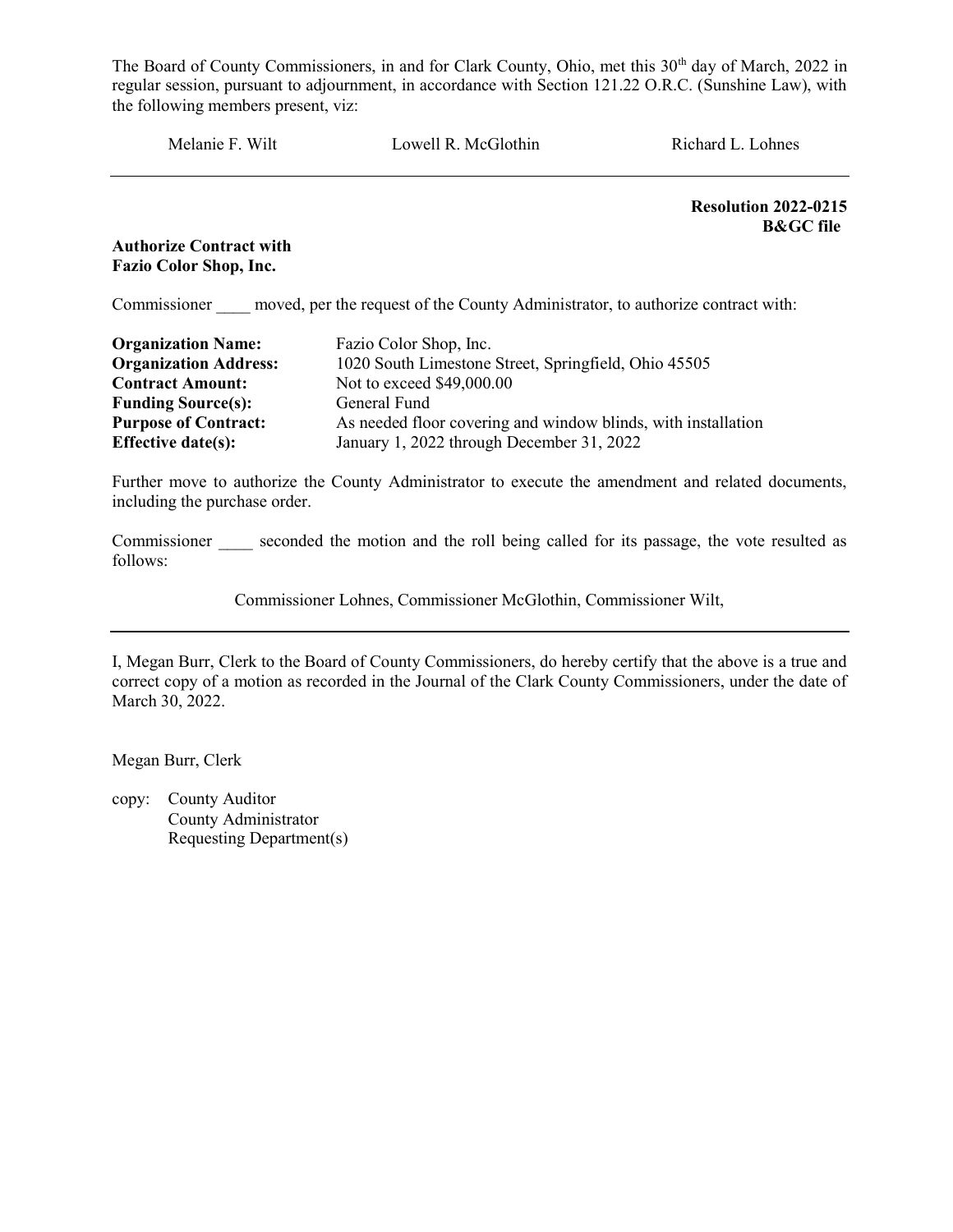Melanie F. Wilt Lowell R. McGlothin Richard L. Lohnes

Resolution 2022-0215 B&GC file

Authorize Contract with Fazio Color Shop, Inc.

Commissioner moved, per the request of the County Administrator, to authorize contract with:

| <b>Organization Name:</b>    | Fazio Color Shop, Inc.                                        |
|------------------------------|---------------------------------------------------------------|
| <b>Organization Address:</b> | 1020 South Limestone Street, Springfield, Ohio 45505          |
| <b>Contract Amount:</b>      | Not to exceed \$49,000.00                                     |
| <b>Funding Source(s):</b>    | General Fund                                                  |
| <b>Purpose of Contract:</b>  | As needed floor covering and window blinds, with installation |
| Effective date(s):           | January 1, 2022 through December 31, 2022                     |

Further move to authorize the County Administrator to execute the amendment and related documents, including the purchase order.

Commissioner seconded the motion and the roll being called for its passage, the vote resulted as follows:

Commissioner Lohnes, Commissioner McGlothin, Commissioner Wilt,

I, Megan Burr, Clerk to the Board of County Commissioners, do hereby certify that the above is a true and correct copy of a motion as recorded in the Journal of the Clark County Commissioners, under the date of March 30, 2022.

Megan Burr, Clerk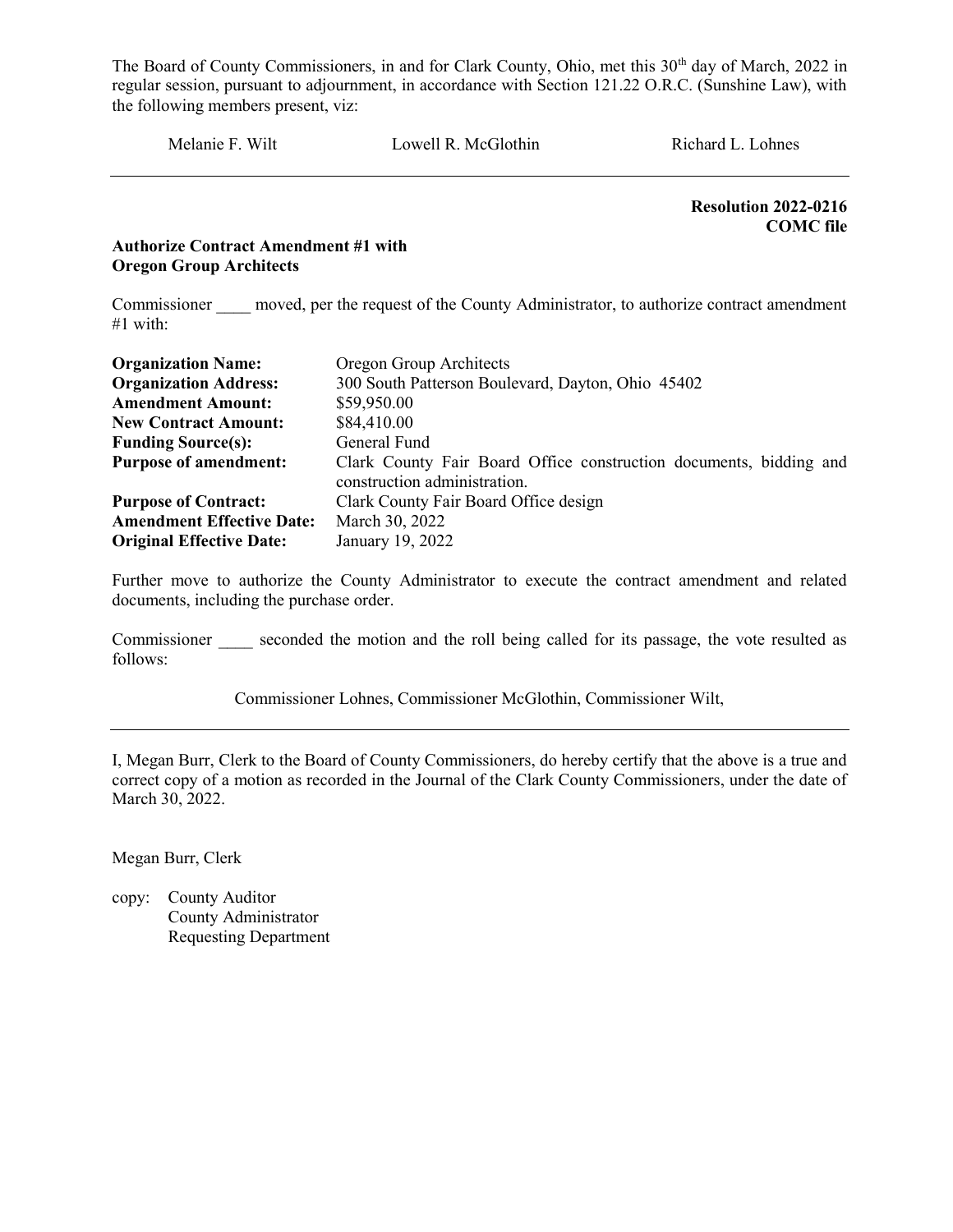Melanie F. Wilt Lowell R. McGlothin Richard L. Lohnes

 Resolution 2022-0216 COMC file

#### Authorize Contract Amendment #1 with Oregon Group Architects

Commissioner moved, per the request of the County Administrator, to authorize contract amendment #1 with:

| <b>Organization Name:</b>        | Oregon Group Architects                                                                            |  |  |  |
|----------------------------------|----------------------------------------------------------------------------------------------------|--|--|--|
| <b>Organization Address:</b>     | 300 South Patterson Boulevard, Dayton, Ohio 45402                                                  |  |  |  |
| <b>Amendment Amount:</b>         | \$59,950.00                                                                                        |  |  |  |
| <b>New Contract Amount:</b>      | \$84,410.00                                                                                        |  |  |  |
| <b>Funding Source(s):</b>        | General Fund                                                                                       |  |  |  |
| <b>Purpose of amendment:</b>     | Clark County Fair Board Office construction documents, bidding and<br>construction administration. |  |  |  |
| <b>Purpose of Contract:</b>      | Clark County Fair Board Office design                                                              |  |  |  |
| <b>Amendment Effective Date:</b> | March 30, 2022                                                                                     |  |  |  |
| <b>Original Effective Date:</b>  | January 19, 2022                                                                                   |  |  |  |

Further move to authorize the County Administrator to execute the contract amendment and related documents, including the purchase order.

Commissioner seconded the motion and the roll being called for its passage, the vote resulted as follows:

Commissioner Lohnes, Commissioner McGlothin, Commissioner Wilt,

I, Megan Burr, Clerk to the Board of County Commissioners, do hereby certify that the above is a true and correct copy of a motion as recorded in the Journal of the Clark County Commissioners, under the date of March 30, 2022.

Megan Burr, Clerk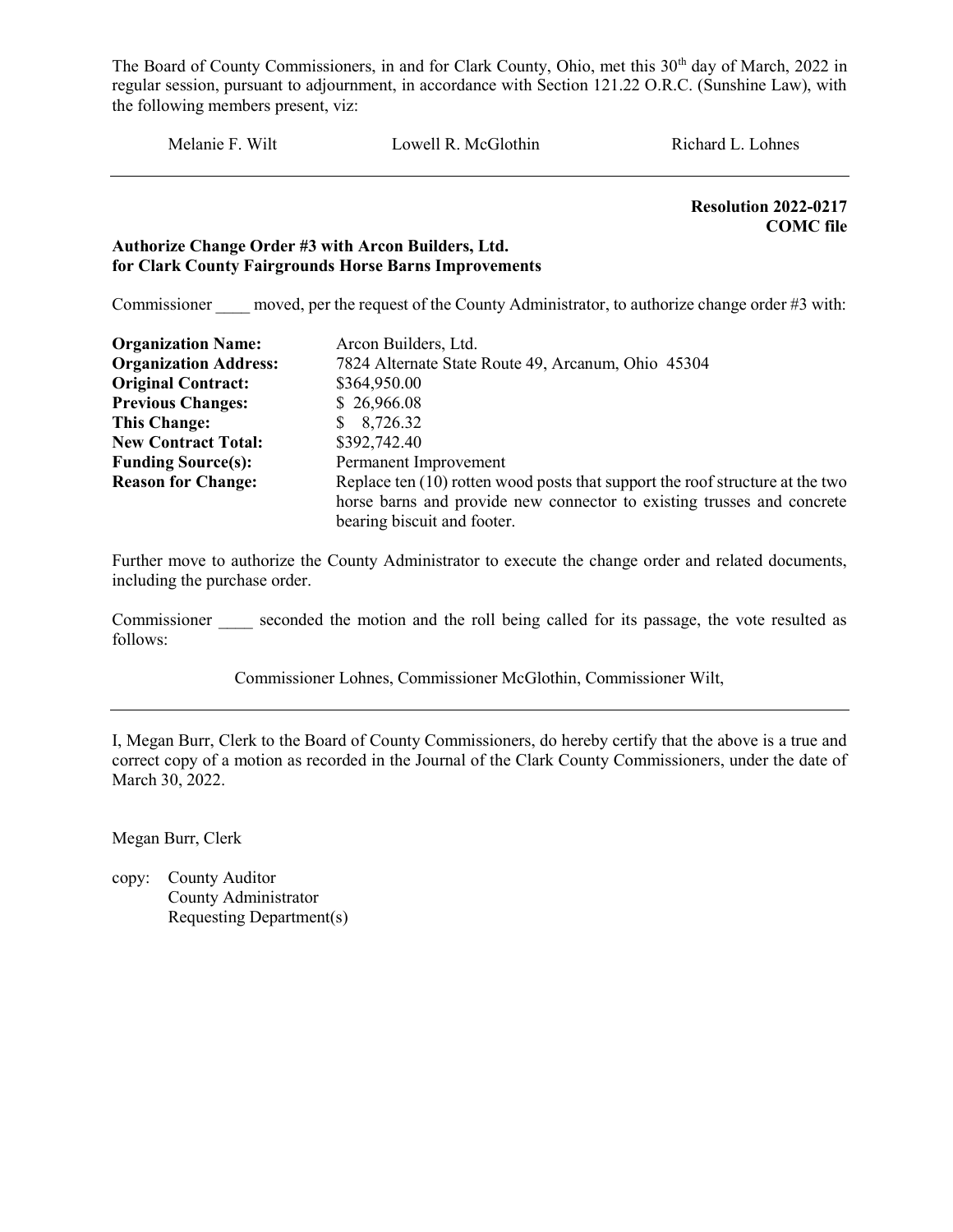Melanie F. Wilt Lowell R. McGlothin Richard L. Lohnes

 Resolution 2022-0217 COMC file

#### Authorize Change Order #3 with Arcon Builders, Ltd. for Clark County Fairgrounds Horse Barns Improvements

Commissioner moved, per the request of the County Administrator, to authorize change order #3 with:

| <b>Organization Name:</b>    | Arcon Builders, Ltd.                                                            |  |  |
|------------------------------|---------------------------------------------------------------------------------|--|--|
| <b>Organization Address:</b> | 7824 Alternate State Route 49, Arcanum, Ohio 45304                              |  |  |
| <b>Original Contract:</b>    | \$364,950.00                                                                    |  |  |
| <b>Previous Changes:</b>     | \$26,966.08                                                                     |  |  |
| <b>This Change:</b>          | \$8,726.32                                                                      |  |  |
| <b>New Contract Total:</b>   | \$392,742.40                                                                    |  |  |
| <b>Funding Source(s):</b>    | Permanent Improvement                                                           |  |  |
| <b>Reason for Change:</b>    | Replace ten $(10)$ rotten wood posts that support the roof structure at the two |  |  |
|                              | horse barns and provide new connector to existing trusses and concrete          |  |  |
|                              | bearing biscuit and footer.                                                     |  |  |

Further move to authorize the County Administrator to execute the change order and related documents, including the purchase order.

Commissioner seconded the motion and the roll being called for its passage, the vote resulted as follows:

Commissioner Lohnes, Commissioner McGlothin, Commissioner Wilt,

I, Megan Burr, Clerk to the Board of County Commissioners, do hereby certify that the above is a true and correct copy of a motion as recorded in the Journal of the Clark County Commissioners, under the date of March 30, 2022.

Megan Burr, Clerk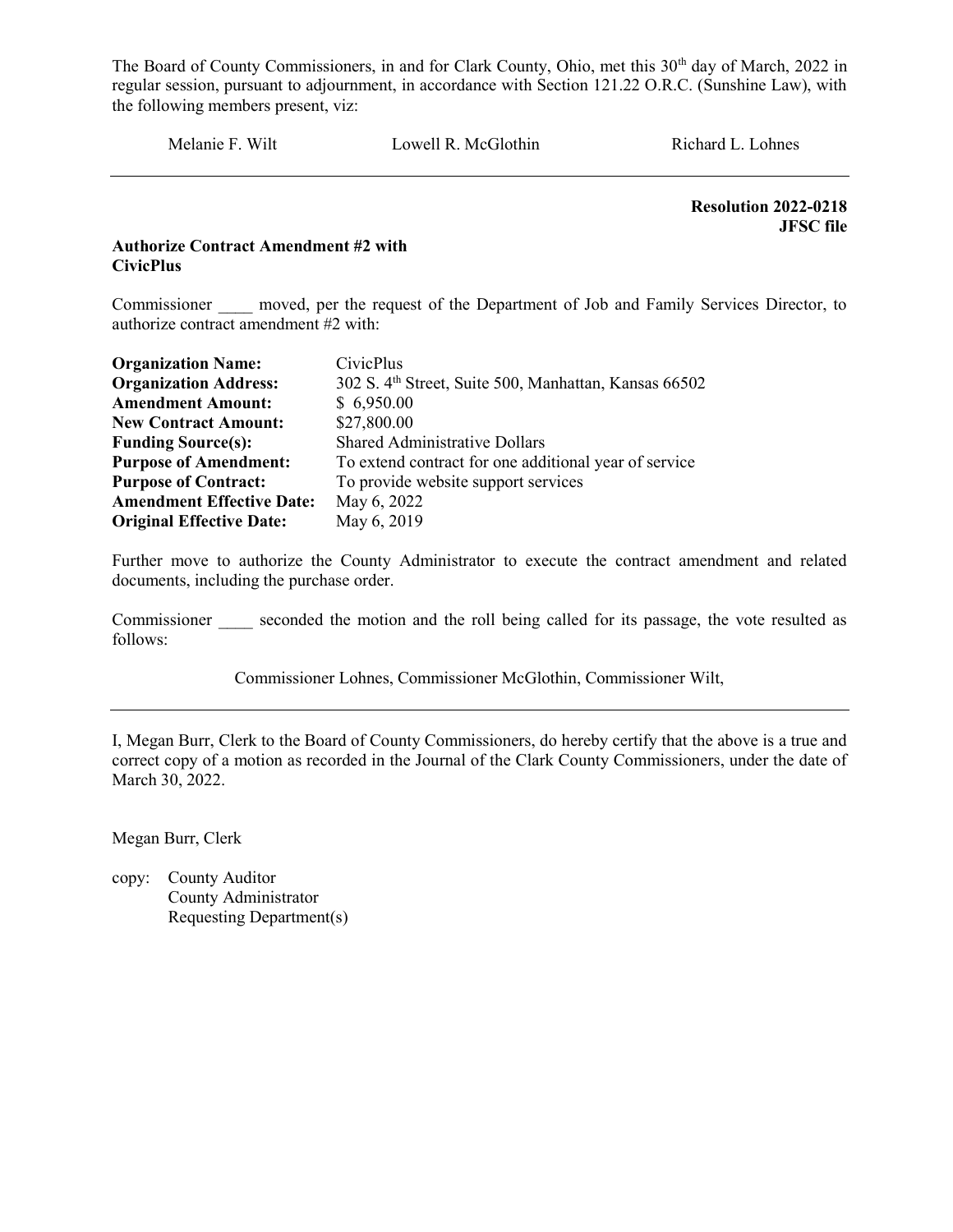Melanie F. Wilt Lowell R. McGlothin Richard L. Lohnes

 Resolution 2022-0218 JFSC file

#### Authorize Contract Amendment #2 with **CivicPlus**

Commissioner moved, per the request of the Department of Job and Family Services Director, to authorize contract amendment #2 with:

| <b>Organization Name:</b>                                                             | CivicPlus                                                         |
|---------------------------------------------------------------------------------------|-------------------------------------------------------------------|
| <b>Organization Address:</b>                                                          | 302 S. 4 <sup>th</sup> Street, Suite 500, Manhattan, Kansas 66502 |
| <b>Amendment Amount:</b>                                                              | \$6,950.00                                                        |
| <b>New Contract Amount:</b>                                                           | \$27,800.00                                                       |
| <b>Funding Source(s):</b>                                                             | <b>Shared Administrative Dollars</b>                              |
| <b>Purpose of Amendment:</b><br>To extend contract for one additional year of service |                                                                   |
| <b>Purpose of Contract:</b>                                                           | To provide website support services                               |
| <b>Amendment Effective Date:</b>                                                      | May 6, 2022                                                       |
| <b>Original Effective Date:</b>                                                       | May 6, 2019                                                       |

Further move to authorize the County Administrator to execute the contract amendment and related documents, including the purchase order.

Commissioner seconded the motion and the roll being called for its passage, the vote resulted as follows:

Commissioner Lohnes, Commissioner McGlothin, Commissioner Wilt,

I, Megan Burr, Clerk to the Board of County Commissioners, do hereby certify that the above is a true and correct copy of a motion as recorded in the Journal of the Clark County Commissioners, under the date of March 30, 2022.

Megan Burr, Clerk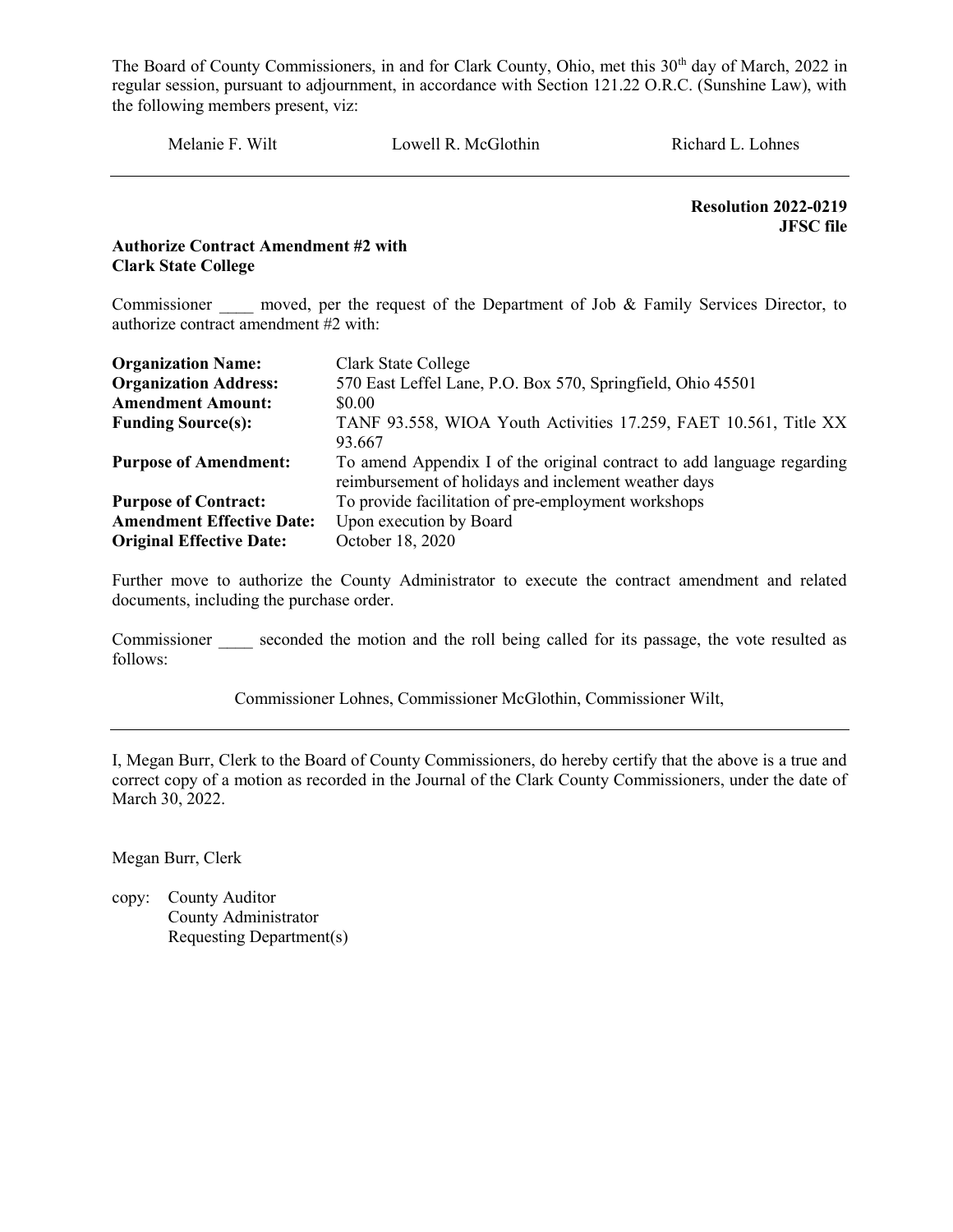Melanie F. Wilt Lowell R. McGlothin Richard L. Lohnes

 Resolution 2022-0219 JFSC file

#### Authorize Contract Amendment #2 with Clark State College

Commissioner moved, per the request of the Department of Job & Family Services Director, to authorize contract amendment #2 with:

| <b>Organization Name:</b>        | Clark State College                                                    |  |  |
|----------------------------------|------------------------------------------------------------------------|--|--|
| <b>Organization Address:</b>     | 570 East Leffel Lane, P.O. Box 570, Springfield, Ohio 45501            |  |  |
| <b>Amendment Amount:</b>         | \$0.00                                                                 |  |  |
| <b>Funding Source(s):</b>        | TANF 93.558, WIOA Youth Activities 17.259, FAET 10.561, Title XX       |  |  |
|                                  | 93.667                                                                 |  |  |
| <b>Purpose of Amendment:</b>     | To amend Appendix I of the original contract to add language regarding |  |  |
|                                  | reimbursement of holidays and inclement weather days                   |  |  |
| <b>Purpose of Contract:</b>      | To provide facilitation of pre-employment workshops                    |  |  |
| <b>Amendment Effective Date:</b> | Upon execution by Board                                                |  |  |
| <b>Original Effective Date:</b>  | October 18, 2020                                                       |  |  |

Further move to authorize the County Administrator to execute the contract amendment and related documents, including the purchase order.

Commissioner seconded the motion and the roll being called for its passage, the vote resulted as follows:

Commissioner Lohnes, Commissioner McGlothin, Commissioner Wilt,

I, Megan Burr, Clerk to the Board of County Commissioners, do hereby certify that the above is a true and correct copy of a motion as recorded in the Journal of the Clark County Commissioners, under the date of March 30, 2022.

Megan Burr, Clerk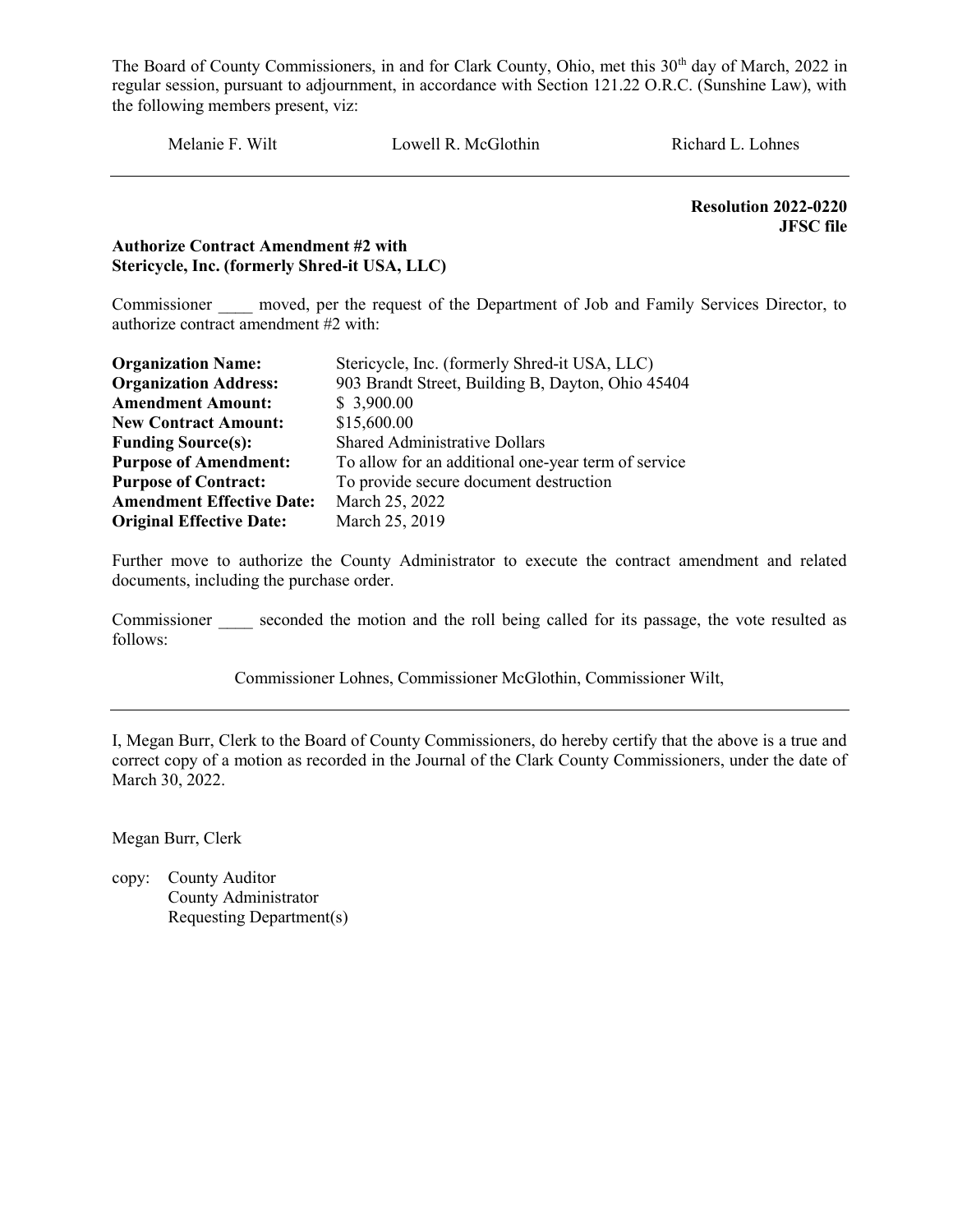Melanie F. Wilt Lowell R. McGlothin Richard L. Lohnes

 Resolution 2022-0220 JFSC file

#### Authorize Contract Amendment #2 with Stericycle, Inc. (formerly Shred-it USA, LLC)

Commissioner moved, per the request of the Department of Job and Family Services Director, to authorize contract amendment #2 with:

| <b>Organization Name:</b>                                                           | Stericycle, Inc. (formerly Shred-it USA, LLC)     |  |  |
|-------------------------------------------------------------------------------------|---------------------------------------------------|--|--|
| <b>Organization Address:</b>                                                        | 903 Brandt Street, Building B, Dayton, Ohio 45404 |  |  |
| <b>Amendment Amount:</b>                                                            | \$3,900.00                                        |  |  |
| <b>New Contract Amount:</b>                                                         | \$15,600.00                                       |  |  |
| <b>Funding Source(s):</b>                                                           | <b>Shared Administrative Dollars</b>              |  |  |
| <b>Purpose of Amendment:</b><br>To allow for an additional one-year term of service |                                                   |  |  |
| <b>Purpose of Contract:</b>                                                         | To provide secure document destruction            |  |  |
| <b>Amendment Effective Date:</b>                                                    | March 25, 2022                                    |  |  |
| <b>Original Effective Date:</b>                                                     | March 25, 2019                                    |  |  |

Further move to authorize the County Administrator to execute the contract amendment and related documents, including the purchase order.

Commissioner seconded the motion and the roll being called for its passage, the vote resulted as follows:

Commissioner Lohnes, Commissioner McGlothin, Commissioner Wilt,

I, Megan Burr, Clerk to the Board of County Commissioners, do hereby certify that the above is a true and correct copy of a motion as recorded in the Journal of the Clark County Commissioners, under the date of March 30, 2022.

Megan Burr, Clerk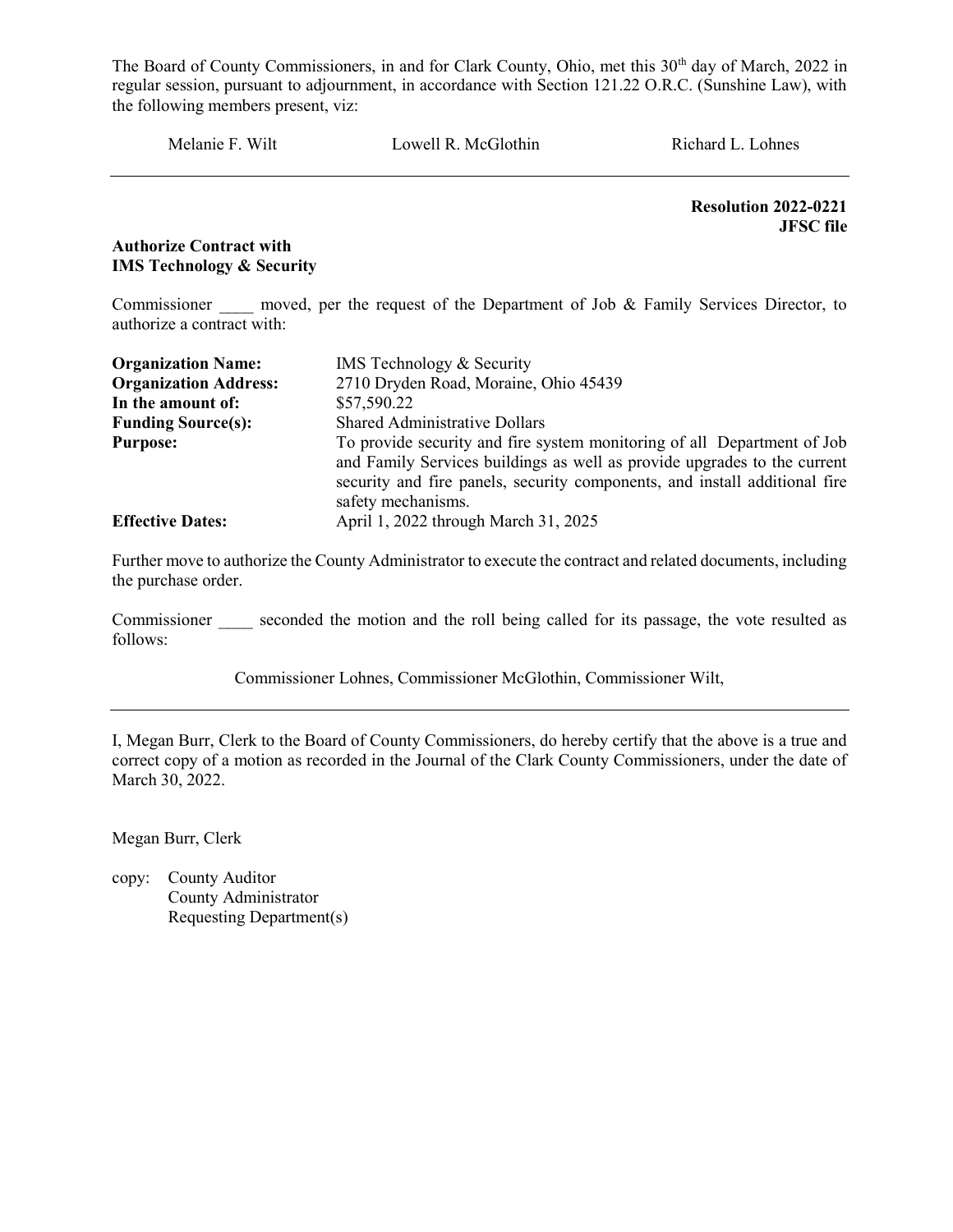Melanie F. Wilt Lowell R. McGlothin Richard L. Lohnes

Resolution 2022-0221 JFSC file

#### Authorize Contract with IMS Technology & Security

Commissioner moved, per the request of the Department of Job & Family Services Director, to authorize a contract with:

| <b>Organization Name:</b>    | <b>IMS</b> Technology & Security                                                                                                                                                                                                                        |  |  |  |  |
|------------------------------|---------------------------------------------------------------------------------------------------------------------------------------------------------------------------------------------------------------------------------------------------------|--|--|--|--|
| <b>Organization Address:</b> | 2710 Dryden Road, Moraine, Ohio 45439                                                                                                                                                                                                                   |  |  |  |  |
| In the amount of:            | \$57,590.22                                                                                                                                                                                                                                             |  |  |  |  |
| <b>Funding Source(s):</b>    | <b>Shared Administrative Dollars</b>                                                                                                                                                                                                                    |  |  |  |  |
| <b>Purpose:</b>              | To provide security and fire system monitoring of all Department of Job<br>and Family Services buildings as well as provide upgrades to the current<br>security and fire panels, security components, and install additional fire<br>safety mechanisms. |  |  |  |  |
| <b>Effective Dates:</b>      | April 1, 2022 through March 31, 2025                                                                                                                                                                                                                    |  |  |  |  |

Further move to authorize the County Administrator to execute the contract and related documents, including the purchase order.

Commissioner seconded the motion and the roll being called for its passage, the vote resulted as follows:

Commissioner Lohnes, Commissioner McGlothin, Commissioner Wilt,

I, Megan Burr, Clerk to the Board of County Commissioners, do hereby certify that the above is a true and correct copy of a motion as recorded in the Journal of the Clark County Commissioners, under the date of March 30, 2022.

Megan Burr, Clerk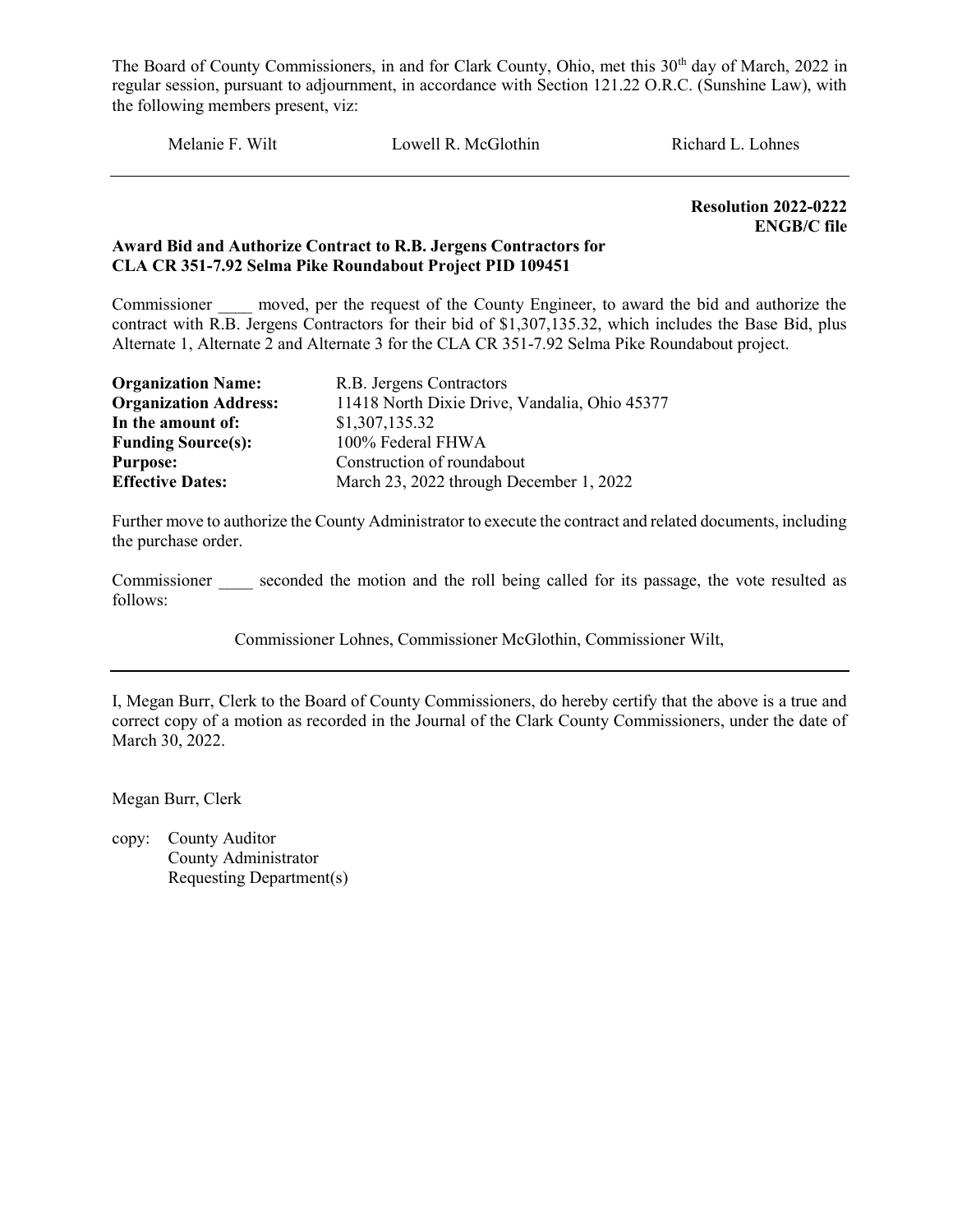Melanie F. Wilt Lowell R. McGlothin Richard L. Lohnes

Resolution 2022-0222 ENGB/C file

#### Award Bid and Authorize Contract to R.B. Jergens Contractors for CLA CR 351-7.92 Selma Pike Roundabout Project PID 109451

Commissioner moved, per the request of the County Engineer, to award the bid and authorize the contract with R.B. Jergens Contractors for their bid of \$1,307,135.32, which includes the Base Bid, plus Alternate 1, Alternate 2 and Alternate 3 for the CLA CR 351-7.92 Selma Pike Roundabout project.

| <b>Organization Name:</b>    | R.B. Jergens Contractors                      |
|------------------------------|-----------------------------------------------|
| <b>Organization Address:</b> | 11418 North Dixie Drive, Vandalia, Ohio 45377 |
| In the amount of:            | \$1,307,135.32                                |
| <b>Funding Source(s):</b>    | 100% Federal FHWA                             |
| <b>Purpose:</b>              | Construction of roundabout                    |
| <b>Effective Dates:</b>      | March 23, 2022 through December 1, 2022       |

Further move to authorize the County Administrator to execute the contract and related documents, including the purchase order.

Commissioner seconded the motion and the roll being called for its passage, the vote resulted as follows:

Commissioner Lohnes, Commissioner McGlothin, Commissioner Wilt,

I, Megan Burr, Clerk to the Board of County Commissioners, do hereby certify that the above is a true and correct copy of a motion as recorded in the Journal of the Clark County Commissioners, under the date of March 30, 2022.

Megan Burr, Clerk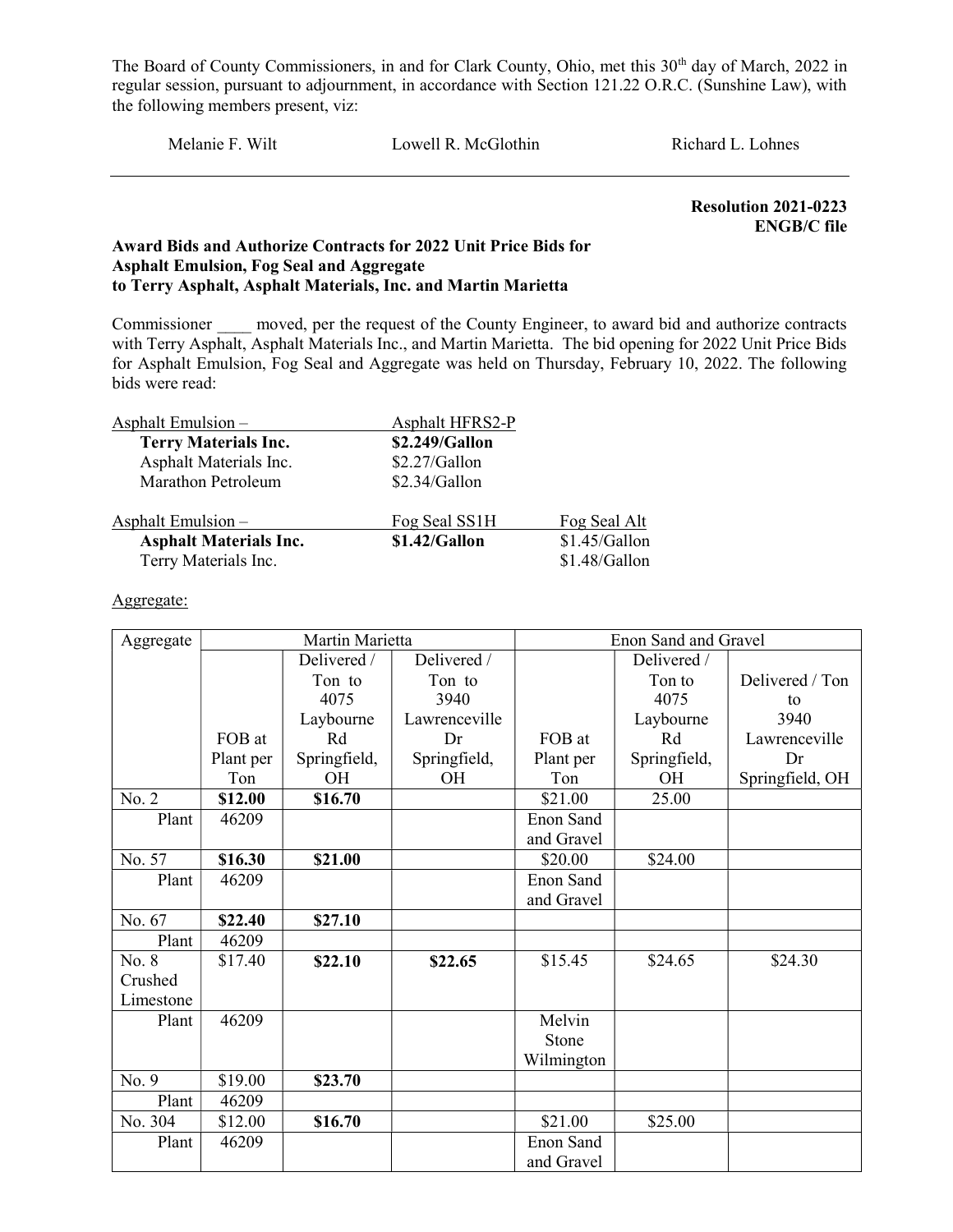Melanie F. Wilt Lowell R. McGlothin Richard L. Lohnes

 Resolution 2021-0223 ENGB/C file

#### Award Bids and Authorize Contracts for 2022 Unit Price Bids for Asphalt Emulsion, Fog Seal and Aggregate to Terry Asphalt, Asphalt Materials, Inc. and Martin Marietta

Commissioner moved, per the request of the County Engineer, to award bid and authorize contracts with Terry Asphalt, Asphalt Materials Inc., and Martin Marietta. The bid opening for 2022 Unit Price Bids for Asphalt Emulsion, Fog Seal and Aggregate was held on Thursday, February 10, 2022. The following bids were read:

| Asphalt Emulsion $-$          | Asphalt HFRS2-P |               |
|-------------------------------|-----------------|---------------|
| <b>Terry Materials Inc.</b>   | \$2.249/Gallon  |               |
| Asphalt Materials Inc.        | \$2.27/Gallon   |               |
| Marathon Petroleum            | \$2.34/Gallon   |               |
| Asphalt Emulsion $-$          | Fog Seal SS1H   | Fog Seal Alt  |
| <b>Asphalt Materials Inc.</b> | \$1.42/Gallon   | \$1.45/Gallon |
| Terry Materials Inc.          |                 | \$1.48/Gallon |

#### Aggregate:

| Aggregate | Martin Marietta |              |               | Enon Sand and Gravel |              |                 |
|-----------|-----------------|--------------|---------------|----------------------|--------------|-----------------|
|           |                 | Delivered /  | Delivered /   |                      | Delivered /  |                 |
|           |                 | Ton to       | Ton to        |                      | Ton to       | Delivered / Ton |
|           |                 | 4075         | 3940          |                      | 4075         | to              |
|           |                 | Laybourne    | Lawrenceville |                      | Laybourne    | 3940            |
|           | FOB at          | Rd           | Dr            | FOB at               | Rd           | Lawrenceville   |
|           | Plant per       | Springfield, | Springfield,  | Plant per            | Springfield, | Dr              |
|           | Ton             | <b>OH</b>    | <b>OH</b>     | Ton                  | <b>OH</b>    | Springfield, OH |
| No. 2     | \$12.00         | \$16.70      |               | \$21.00              | 25.00        |                 |
| Plant     | 46209           |              |               | Enon Sand            |              |                 |
|           |                 |              |               | and Gravel           |              |                 |
| No. 57    | \$16.30         | \$21.00      |               | \$20.00              | \$24.00      |                 |
| Plant     | 46209           |              |               | Enon Sand            |              |                 |
|           |                 |              |               | and Gravel           |              |                 |
| No. 67    | \$22.40         | \$27.10      |               |                      |              |                 |
| Plant     | 46209           |              |               |                      |              |                 |
| No. 8     | \$17.40         | \$22.10      | \$22.65       | \$15.45              | \$24.65      | \$24.30         |
| Crushed   |                 |              |               |                      |              |                 |
| Limestone |                 |              |               |                      |              |                 |
| Plant     | 46209           |              |               | Melvin               |              |                 |
|           |                 |              |               | Stone                |              |                 |
|           |                 |              |               | Wilmington           |              |                 |
| No. 9     | \$19.00         | \$23.70      |               |                      |              |                 |
| Plant     | 46209           |              |               |                      |              |                 |
| No. 304   | \$12.00         | \$16.70      |               | \$21.00              | \$25.00      |                 |
| Plant     | 46209           |              |               | Enon Sand            |              |                 |
|           |                 |              |               | and Gravel           |              |                 |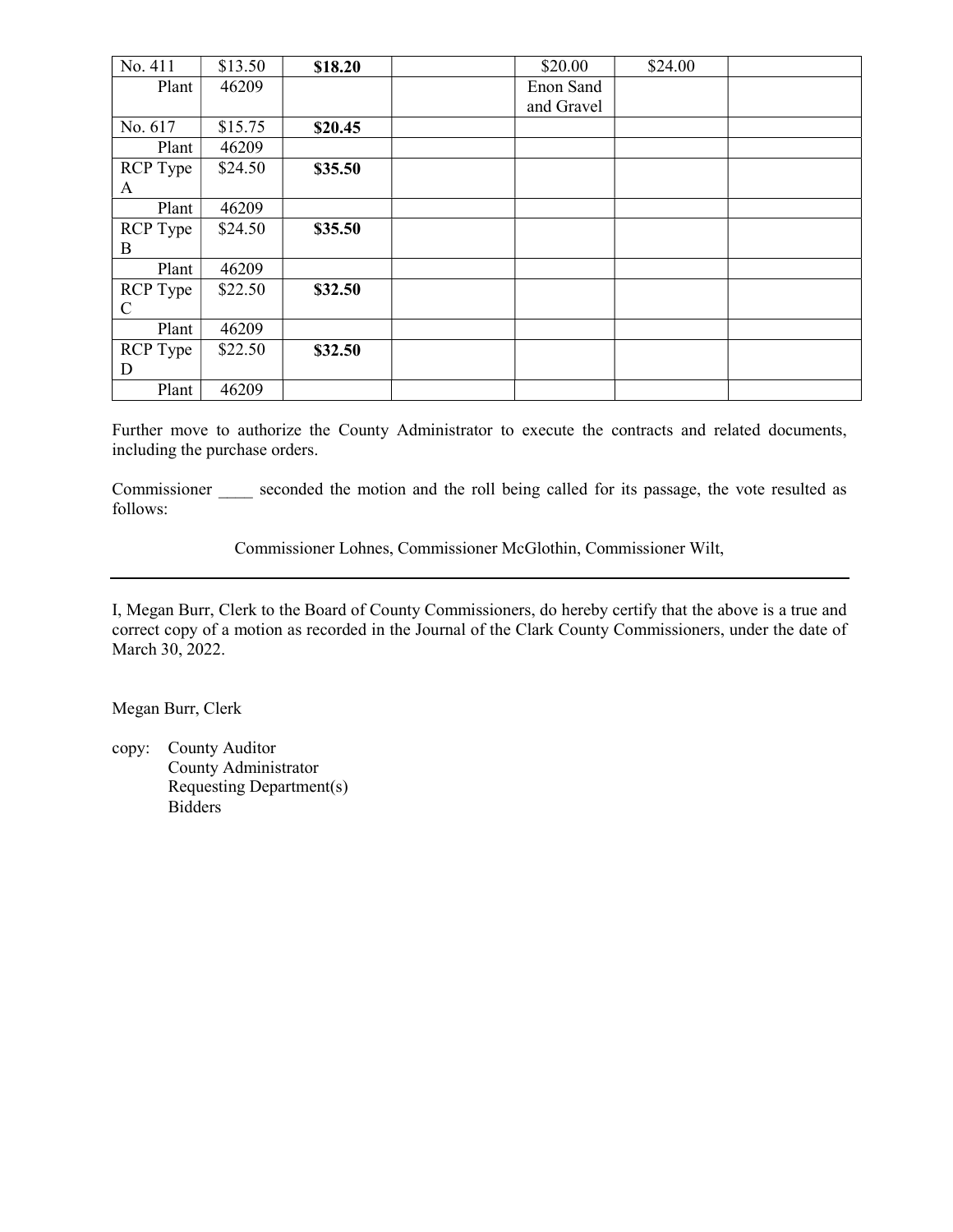| No. 411         | \$13.50 | \$18.20 | \$20.00    | \$24.00 |  |
|-----------------|---------|---------|------------|---------|--|
| Plant           | 46209   |         | Enon Sand  |         |  |
|                 |         |         | and Gravel |         |  |
| No. 617         | \$15.75 | \$20.45 |            |         |  |
| Plant           | 46209   |         |            |         |  |
| <b>RCP</b> Type | \$24.50 | \$35.50 |            |         |  |
| A               |         |         |            |         |  |
| Plant           | 46209   |         |            |         |  |
| RCP Type        | \$24.50 | \$35.50 |            |         |  |
| B               |         |         |            |         |  |
| Plant           | 46209   |         |            |         |  |
| <b>RCP</b> Type | \$22.50 | \$32.50 |            |         |  |
| $\mathsf{C}$    |         |         |            |         |  |
| Plant           | 46209   |         |            |         |  |
| RCP Type        | \$22.50 | \$32.50 |            |         |  |
| D               |         |         |            |         |  |
| Plant           | 46209   |         |            |         |  |

Further move to authorize the County Administrator to execute the contracts and related documents, including the purchase orders.

Commissioner seconded the motion and the roll being called for its passage, the vote resulted as follows:

Commissioner Lohnes, Commissioner McGlothin, Commissioner Wilt,

I, Megan Burr, Clerk to the Board of County Commissioners, do hereby certify that the above is a true and correct copy of a motion as recorded in the Journal of the Clark County Commissioners, under the date of March 30, 2022.

Megan Burr, Clerk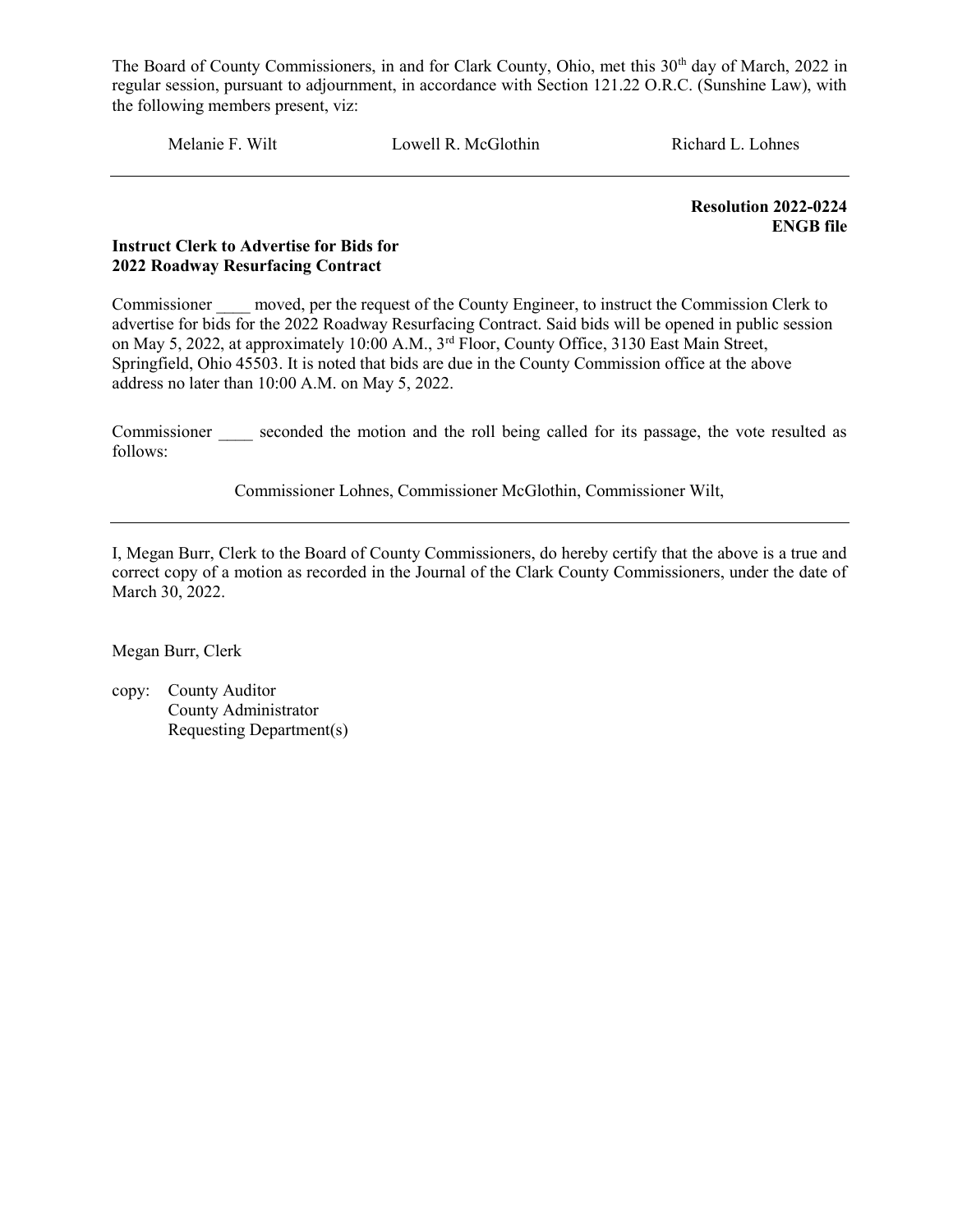Melanie F. Wilt Lowell R. McGlothin Richard L. Lohnes

Resolution 2022-0224 ENGB file

#### Instruct Clerk to Advertise for Bids for 2022 Roadway Resurfacing Contract

Commissioner moved, per the request of the County Engineer, to instruct the Commission Clerk to advertise for bids for the 2022 Roadway Resurfacing Contract. Said bids will be opened in public session on May 5, 2022, at approximately 10:00 A.M., 3rd Floor, County Office, 3130 East Main Street, Springfield, Ohio 45503. It is noted that bids are due in the County Commission office at the above address no later than 10:00 A.M. on May 5, 2022.

Commissioner seconded the motion and the roll being called for its passage, the vote resulted as follows:

Commissioner Lohnes, Commissioner McGlothin, Commissioner Wilt,

I, Megan Burr, Clerk to the Board of County Commissioners, do hereby certify that the above is a true and correct copy of a motion as recorded in the Journal of the Clark County Commissioners, under the date of March 30, 2022.

Megan Burr, Clerk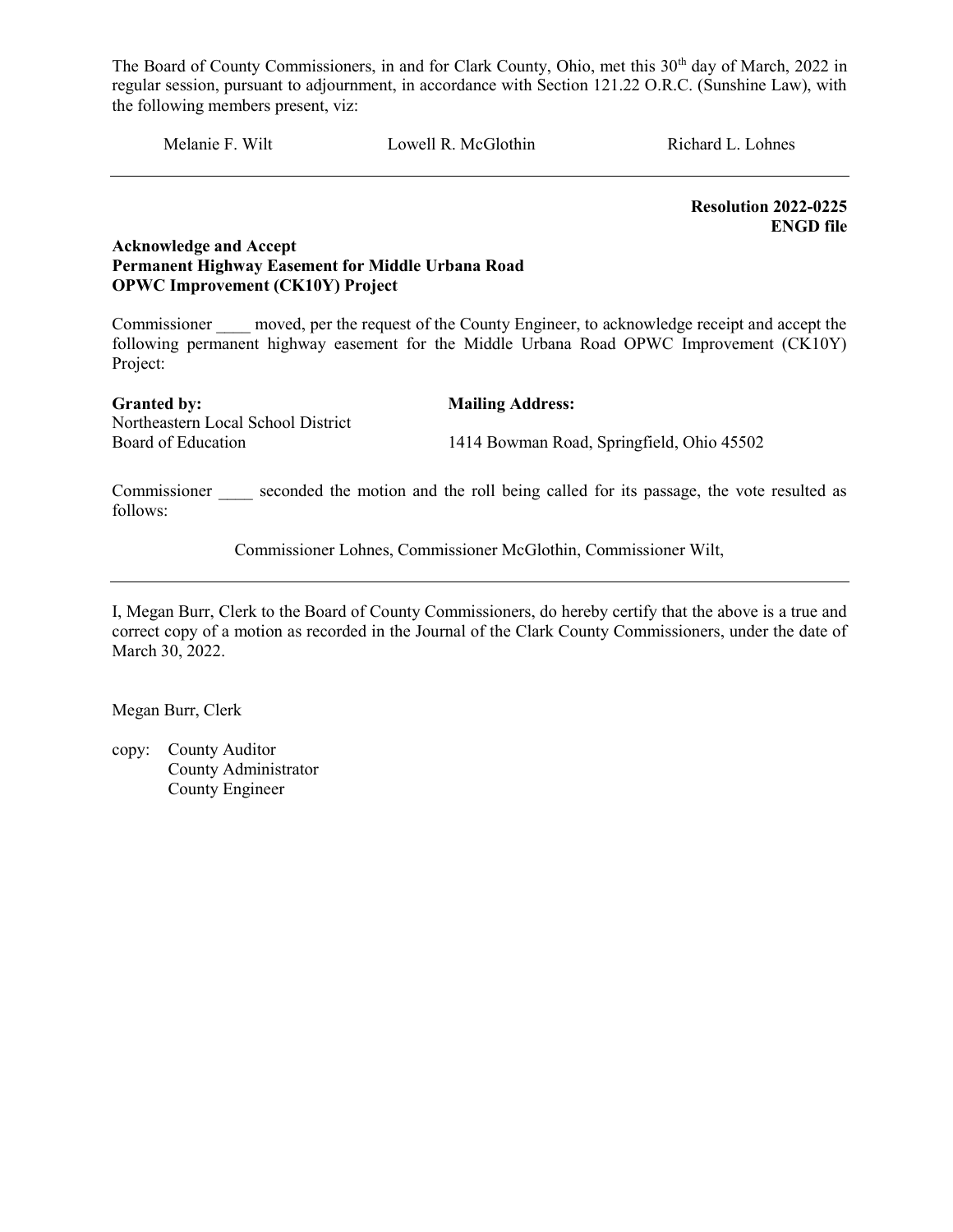Melanie F. Wilt Lowell R. McGlothin Richard L. Lohnes

 Resolution 2022-0225 ENGD file

#### Acknowledge and Accept Permanent Highway Easement for Middle Urbana Road OPWC Improvement (CK10Y) Project

Commissioner moved, per the request of the County Engineer, to acknowledge receipt and accept the following permanent highway easement for the Middle Urbana Road OPWC Improvement (CK10Y) Project:

Granted by: Mailing Address: Northeastern Local School District

Board of Education 1414 Bowman Road, Springfield, Ohio 45502

Commissioner seconded the motion and the roll being called for its passage, the vote resulted as follows:

Commissioner Lohnes, Commissioner McGlothin, Commissioner Wilt,

I, Megan Burr, Clerk to the Board of County Commissioners, do hereby certify that the above is a true and correct copy of a motion as recorded in the Journal of the Clark County Commissioners, under the date of March 30, 2022.

Megan Burr, Clerk

copy: County Auditor County Administrator County Engineer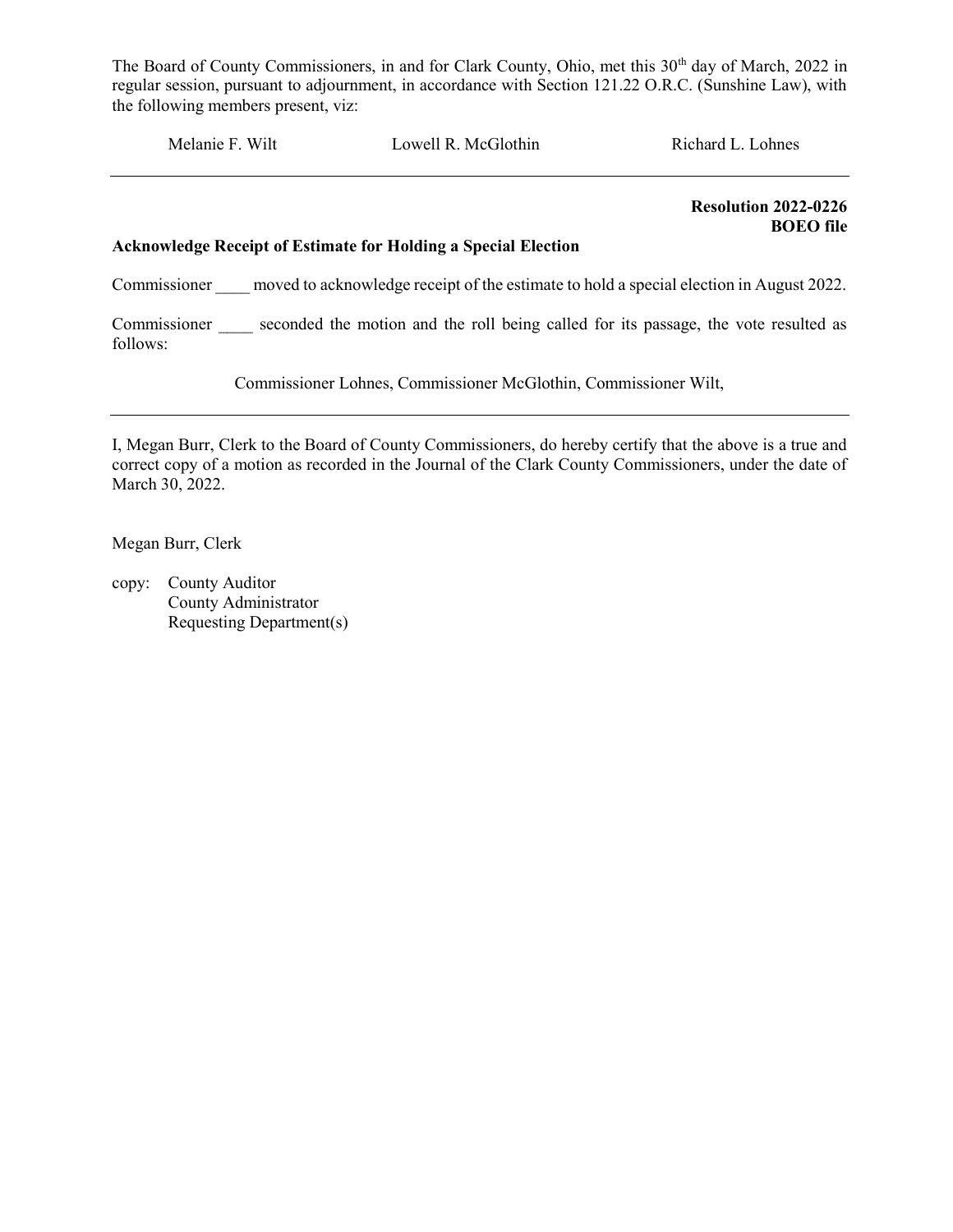Melanie F. Wilt Lowell R. McGlothin Richard L. Lohnes

 Resolution 2022-0226 BOEO file

#### Acknowledge Receipt of Estimate for Holding a Special Election

Commissioner moved to acknowledge receipt of the estimate to hold a special election in August 2022.

Commissioner seconded the motion and the roll being called for its passage, the vote resulted as follows:

Commissioner Lohnes, Commissioner McGlothin, Commissioner Wilt,

I, Megan Burr, Clerk to the Board of County Commissioners, do hereby certify that the above is a true and correct copy of a motion as recorded in the Journal of the Clark County Commissioners, under the date of March 30, 2022.

Megan Burr, Clerk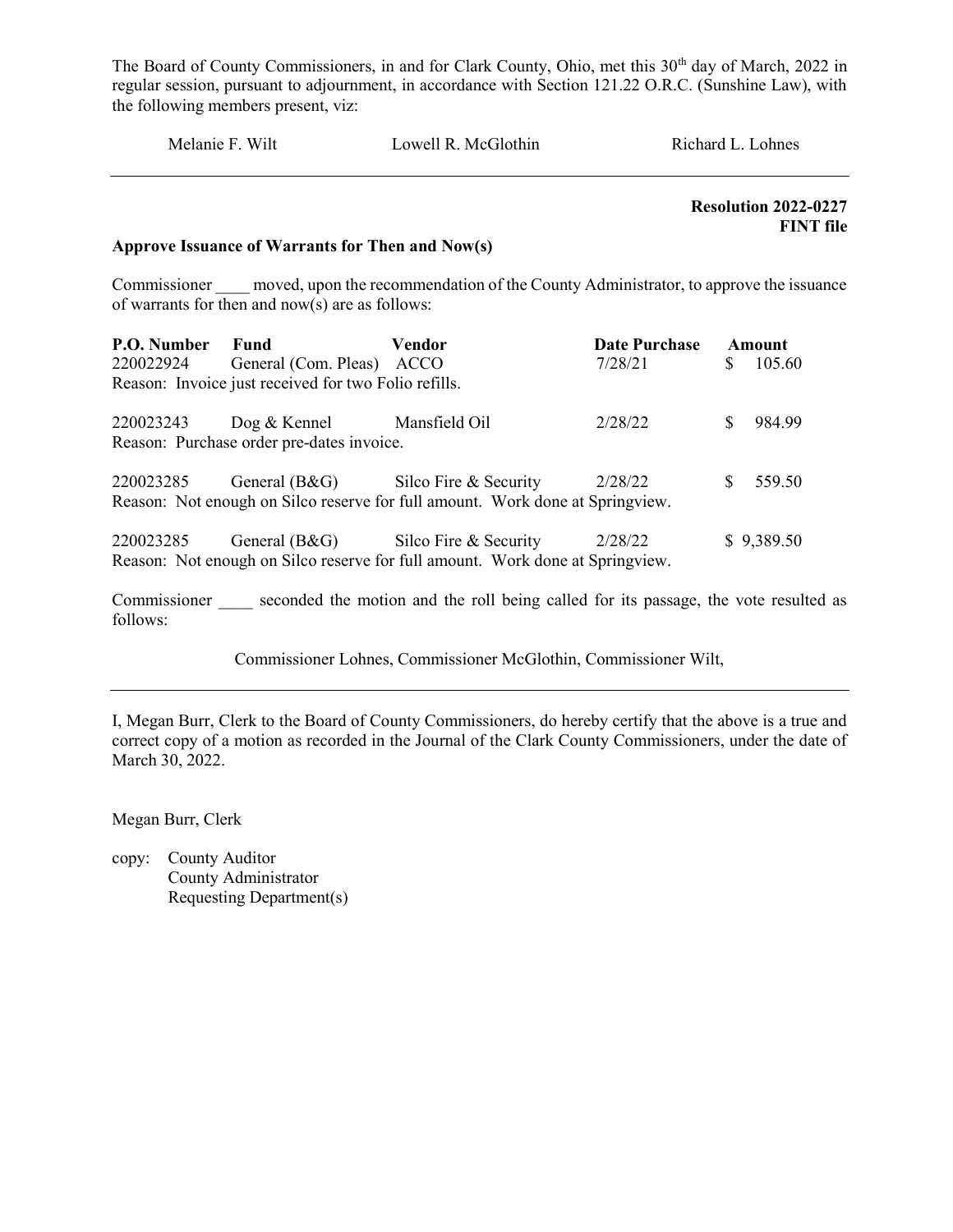| Melanie F. Wilt         |                                                                                                                                                       | Lowell R. McGlothin |                                 | Richard L. Lohnes |                                                 |  |
|-------------------------|-------------------------------------------------------------------------------------------------------------------------------------------------------|---------------------|---------------------------------|-------------------|-------------------------------------------------|--|
|                         | Approve Issuance of Warrants for Then and Now(s)                                                                                                      |                     |                                 |                   | <b>Resolution 2022-0227</b><br><b>FINT</b> file |  |
|                         | Commissioner moved, upon the recommendation of the County Administrator, to approve the issuance<br>of warrants for then and $now(s)$ are as follows: |                     |                                 |                   |                                                 |  |
| <b>P.O. Number Fund</b> | 220022924 General (Com. Pleas)<br>Reason: Invoice just received for two Folio refills.                                                                | Vendor<br>ACCO      | <b>Date Purchase</b><br>7/28/21 | <sup>S</sup>      | Amount<br>105.60                                |  |
| 220023243               | $\log \&$ Kennel<br>Reason: Purchase order pre-dates invoice.                                                                                         | Mansfield Oil       | 2/28/22                         | S.                | 984.99                                          |  |

| 220023285 | General $(B&G)$ | Silco Fire & Security                                                         | 2/28/22 | \$9,389.50 |
|-----------|-----------------|-------------------------------------------------------------------------------|---------|------------|
|           |                 | Reason: Not enough on Silco reserve for full amount. Work done at Springview. |         |            |

220023285 General (B&G) Silco Fire & Security 2/28/22 \$ 559.50

Reason: Not enough on Silco reserve for full amount. Work done at Springview.

Commissioner seconded the motion and the roll being called for its passage, the vote resulted as follows:

Commissioner Lohnes, Commissioner McGlothin, Commissioner Wilt,

I, Megan Burr, Clerk to the Board of County Commissioners, do hereby certify that the above is a true and correct copy of a motion as recorded in the Journal of the Clark County Commissioners, under the date of March 30, 2022.

Megan Burr, Clerk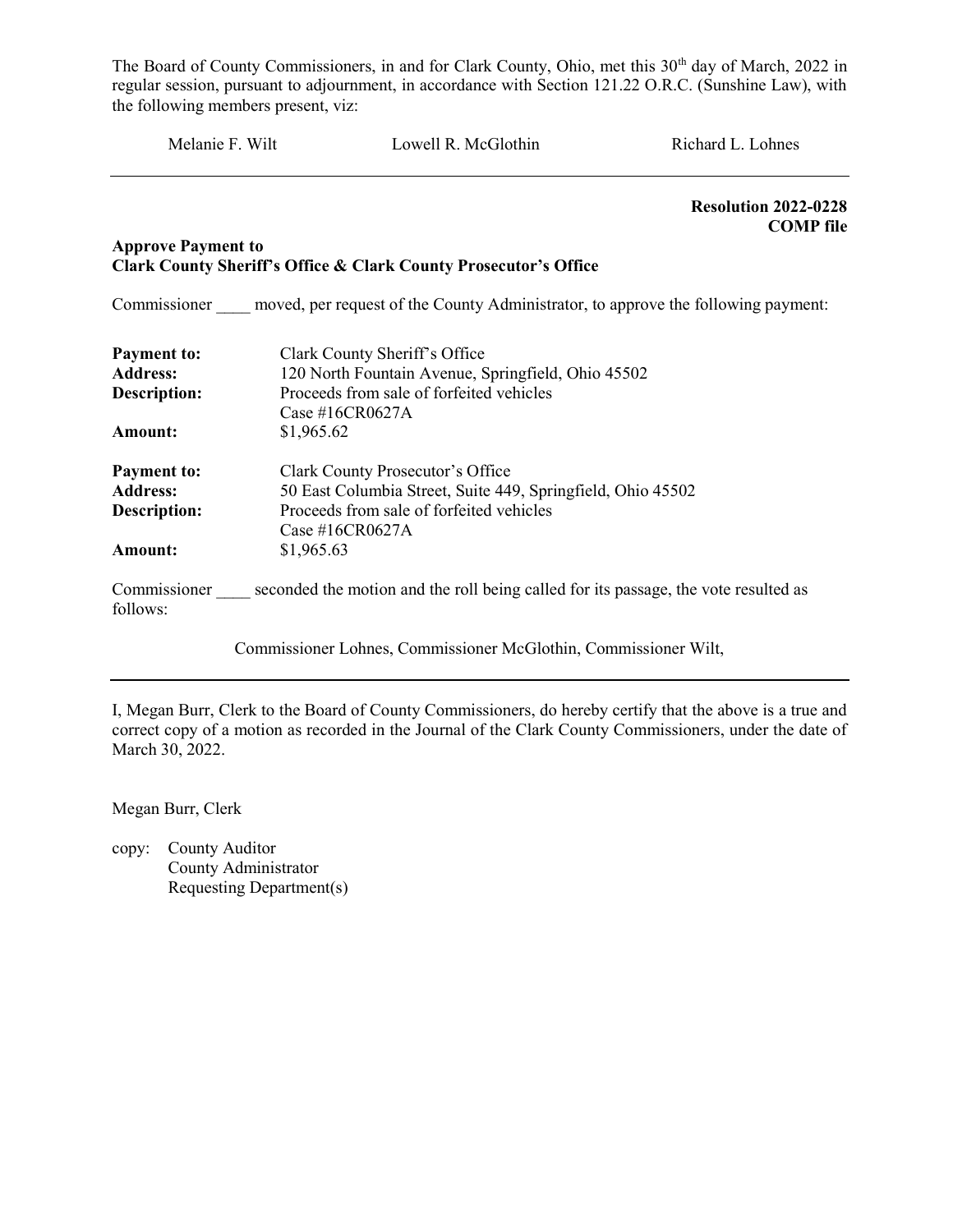| Melanie F. Wilt           |            | Lowell R. McGlothin                                                                              | Richard L. Lohnes                               |  |  |
|---------------------------|------------|--------------------------------------------------------------------------------------------------|-------------------------------------------------|--|--|
|                           |            |                                                                                                  | <b>Resolution 2022-0228</b><br><b>COMP</b> file |  |  |
| <b>Approve Payment to</b> |            | Clark County Sheriff's Office & Clark County Prosecutor's Office                                 |                                                 |  |  |
|                           |            | Commissioner moved, per request of the County Administrator, to approve the following payment:   |                                                 |  |  |
| Payment to:               |            | Clark County Sheriff's Office                                                                    |                                                 |  |  |
| <b>Address:</b>           |            | 120 North Fountain Avenue, Springfield, Ohio 45502                                               |                                                 |  |  |
| <b>Description:</b>       |            | Proceeds from sale of forfeited vehicles                                                         |                                                 |  |  |
|                           |            | Case #16CR0627A                                                                                  |                                                 |  |  |
| Amount:                   | \$1,965.62 |                                                                                                  |                                                 |  |  |
| <b>Payment to:</b>        |            | Clark County Prosecutor's Office                                                                 |                                                 |  |  |
| <b>Address:</b>           |            | 50 East Columbia Street, Suite 449, Springfield, Ohio 45502                                      |                                                 |  |  |
| <b>Description:</b>       |            | Proceeds from sale of forfeited vehicles                                                         |                                                 |  |  |
|                           |            | Case #16CR0627A                                                                                  |                                                 |  |  |
| Amount:                   | \$1,965.63 |                                                                                                  |                                                 |  |  |
| follows:                  |            | Commissioner seconded the motion and the roll being called for its passage, the vote resulted as |                                                 |  |  |
|                           |            | Commissioner Lohnes, Commissioner McGlothin, Commissioner Wilt,                                  |                                                 |  |  |

I, Megan Burr, Clerk to the Board of County Commissioners, do hereby certify that the above is a true and correct copy of a motion as recorded in the Journal of the Clark County Commissioners, under the date of March 30, 2022.

Megan Burr, Clerk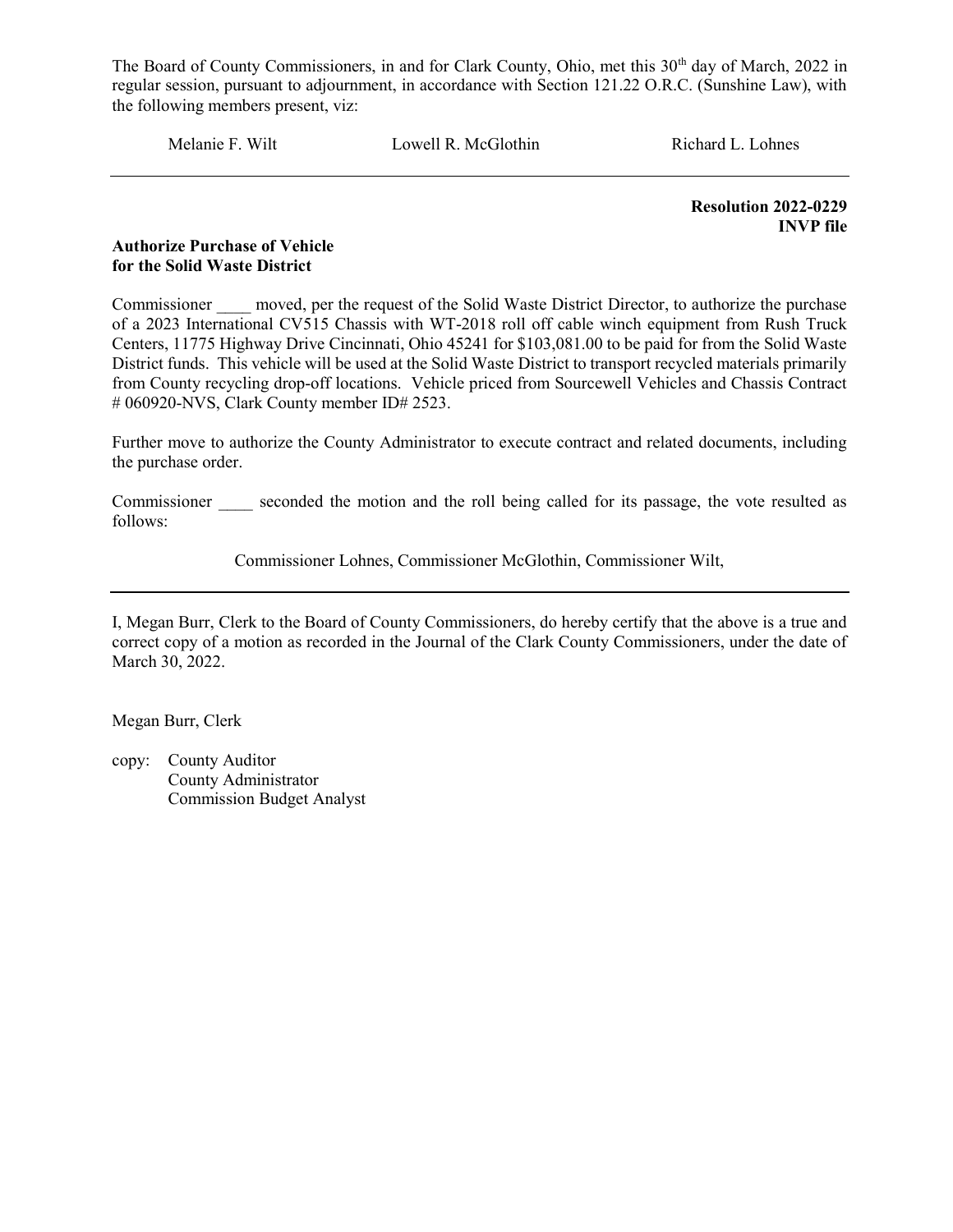Melanie F. Wilt Lowell R. McGlothin Richard L. Lohnes

 Resolution 2022-0229 INVP file

#### Authorize Purchase of Vehicle for the Solid Waste District

Commissioner moved, per the request of the Solid Waste District Director, to authorize the purchase of a 2023 International CV515 Chassis with WT-2018 roll off cable winch equipment from Rush Truck Centers, 11775 Highway Drive Cincinnati, Ohio 45241 for \$103,081.00 to be paid for from the Solid Waste District funds. This vehicle will be used at the Solid Waste District to transport recycled materials primarily from County recycling drop-off locations. Vehicle priced from Sourcewell Vehicles and Chassis Contract # 060920-NVS, Clark County member ID# 2523.

Further move to authorize the County Administrator to execute contract and related documents, including the purchase order.

Commissioner seconded the motion and the roll being called for its passage, the vote resulted as follows:

Commissioner Lohnes, Commissioner McGlothin, Commissioner Wilt,

I, Megan Burr, Clerk to the Board of County Commissioners, do hereby certify that the above is a true and correct copy of a motion as recorded in the Journal of the Clark County Commissioners, under the date of March 30, 2022.

Megan Burr, Clerk

copy: County Auditor County Administrator Commission Budget Analyst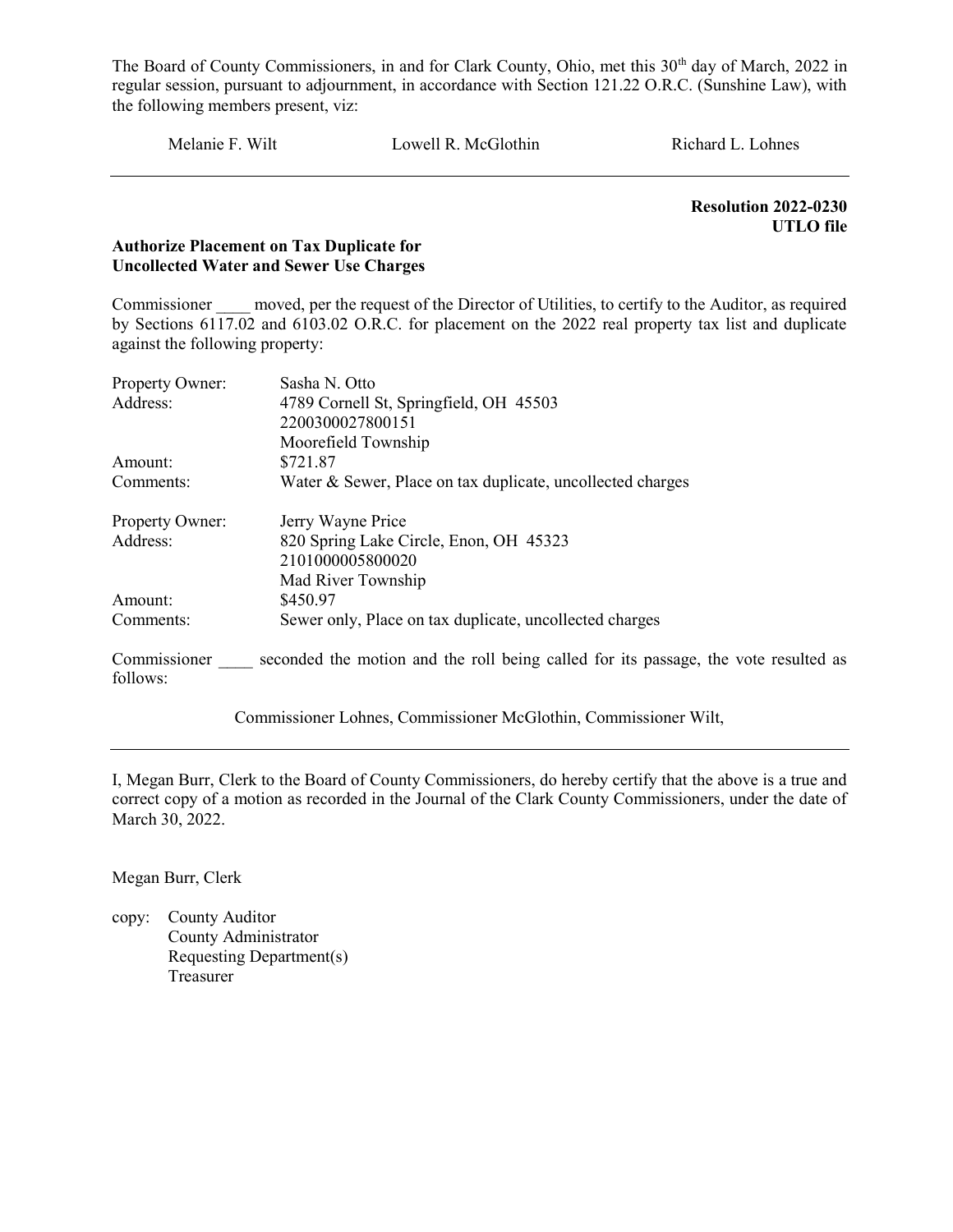Melanie F. Wilt Lowell R. McGlothin Richard L. Lohnes

 Resolution 2022-0230 UTLO file

#### Authorize Placement on Tax Duplicate for Uncollected Water and Sewer Use Charges

Commissioner moved, per the request of the Director of Utilities, to certify to the Auditor, as required by Sections 6117.02 and 6103.02 O.R.C. for placement on the 2022 real property tax list and duplicate against the following property:

| Property Owner: | Sasha N. Otto                                                                                    |  |  |  |  |
|-----------------|--------------------------------------------------------------------------------------------------|--|--|--|--|
| Address:        | 4789 Cornell St, Springfield, OH 45503                                                           |  |  |  |  |
|                 | 2200300027800151                                                                                 |  |  |  |  |
|                 | Moorefield Township                                                                              |  |  |  |  |
| Amount:         | \$721.87                                                                                         |  |  |  |  |
| Comments:       | Water & Sewer, Place on tax duplicate, uncollected charges                                       |  |  |  |  |
| Property Owner: | Jerry Wayne Price                                                                                |  |  |  |  |
| Address:        | 820 Spring Lake Circle, Enon, OH 45323                                                           |  |  |  |  |
|                 | 2101000005800020                                                                                 |  |  |  |  |
|                 | Mad River Township                                                                               |  |  |  |  |
| Amount:         | \$450.97                                                                                         |  |  |  |  |
| Comments:       | Sewer only, Place on tax duplicate, uncollected charges                                          |  |  |  |  |
| follows:        | Commissioner seconded the motion and the roll being called for its passage, the vote resulted as |  |  |  |  |
|                 |                                                                                                  |  |  |  |  |

Commissioner Lohnes, Commissioner McGlothin, Commissioner Wilt,

I, Megan Burr, Clerk to the Board of County Commissioners, do hereby certify that the above is a true and correct copy of a motion as recorded in the Journal of the Clark County Commissioners, under the date of March 30, 2022.

Megan Burr, Clerk